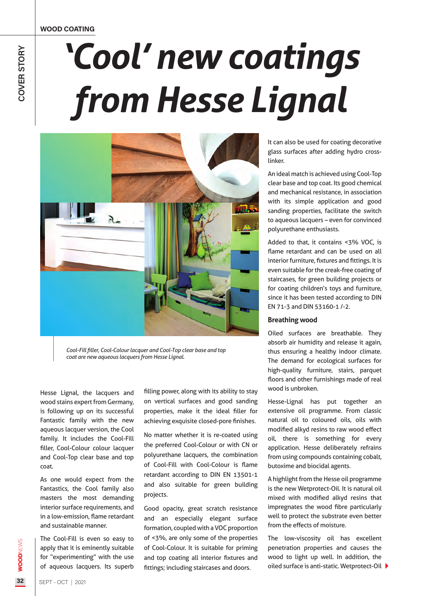WOOD COATING

## *'Cool' new coatings from Hesse Lignal*



*Cool-Fill filler, Cool-Colour lacquer and Cool-Top clear base and top coat are new aqueous lacquers from Hesse Lignal.*

Hesse Lignal, the lacquers and wood stains expert from Germany, is following up on its successful Fantastic family with the new aqueous lacquer version, the Cool family. It includes the Cool-Fill filler, Cool-Colour colour lacquer and Cool-Top clear base and top coat.

As one would expect from the Fantastics, the Cool family also masters the most demanding interior surface requirements, and in a low-emission, flame retardant and sustainable manner.

The Cool-Fill is even so easy to apply that it is eminently suitable for "experimenting" with the use of aqueous lacquers. Its superb filling power, along with its ability to stay on vertical surfaces and good sanding properties, make it the ideal filler for achieving exquisite closed-pore finishes.

No matter whether it is re-coated using the preferred Cool-Colour or with CN or polyurethane lacquers, the combination of Cool-Fill with Cool-Colour is flame retardant according to DIN EN 13501-1 and also suitable for green building projects.

Good opacity, great scratch resistance and an especially elegant surface formation, coupled with a VOC proportion of <3%, are only some of the properties of Cool-Colour. It is suitable for priming and top coating all interior fixtures and fittings; including staircases and doors.

It can also be used for coating decorative glass surfaces after adding hydro crosslinker.

An ideal match is achieved using Cool-Top clear base and top coat. Its good chemical and mechanical resistance, in association with its simple application and good sanding properties, facilitate the switch to aqueous lacquers – even for convinced polyurethane enthusiasts.

Added to that, it contains <3% VOC, is flame retardant and can be used on all interior furniture, fixtures and fittings. It is even suitable for the creak-free coating of staircases, for green building projects or for coating children's toys and furniture, since it has been tested according to DIN EN 71-3 and DIN 53160-1 /-2.

## **Breathing wood**

Oiled surfaces are breathable. They absorb air humidity and release it again, thus ensuring a healthy indoor climate. The demand for ecological surfaces for high-quality furniture, stairs, parquet floors and other furnishings made of real wood is unbroken.

Hesse-Lignal has put together an extensive oil programme. From classic natural oil to coloured oils, oils with modified alkyd resins to raw wood effect oil, there is something for every application. Hesse deliberately refrains from using compounds containing cobalt, butoxime and biocidal agents.

A highlight from the Hesse oil programme is the new Wetprotect-Oil. It is natural oil mixed with modified alkyd resins that impregnates the wood fibre particularly well to protect the substrate even better from the effects of moisture.

The low-viscosity oil has excellent penetration properties and causes the wood to light up well. In addition, the oiled surface is anti-static. Wetprotect-Oil

WOODNEWS